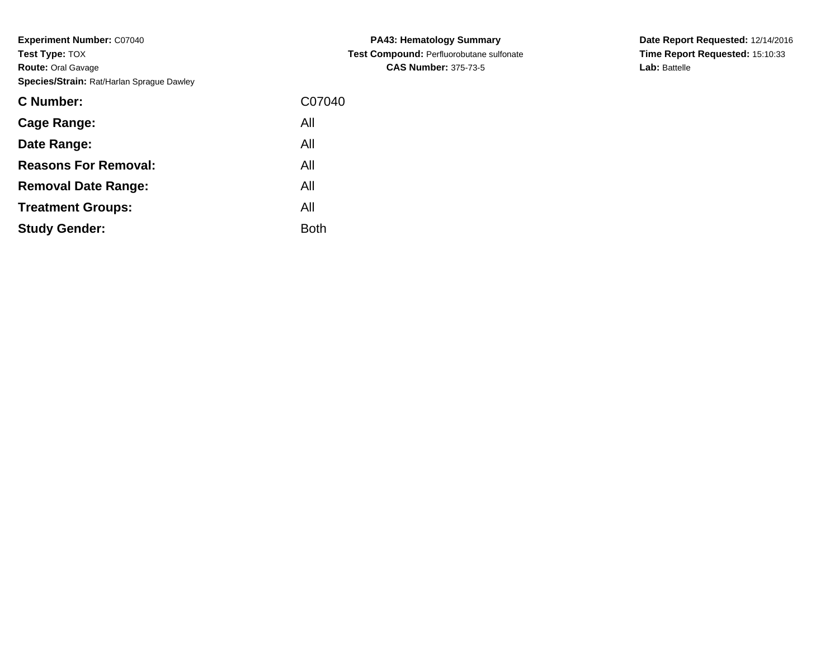| C07040 |
|--------|
|        |
|        |
|        |
|        |
|        |
|        |
|        |

**PA43: Hematology Summary Test Compound:** Perfluorobutane sulfonate**CAS Number:** 375-73-5

**Date Report Requested:** 12/14/2016 **Time Report Requested:** 15:10:33**Lab:** Battelle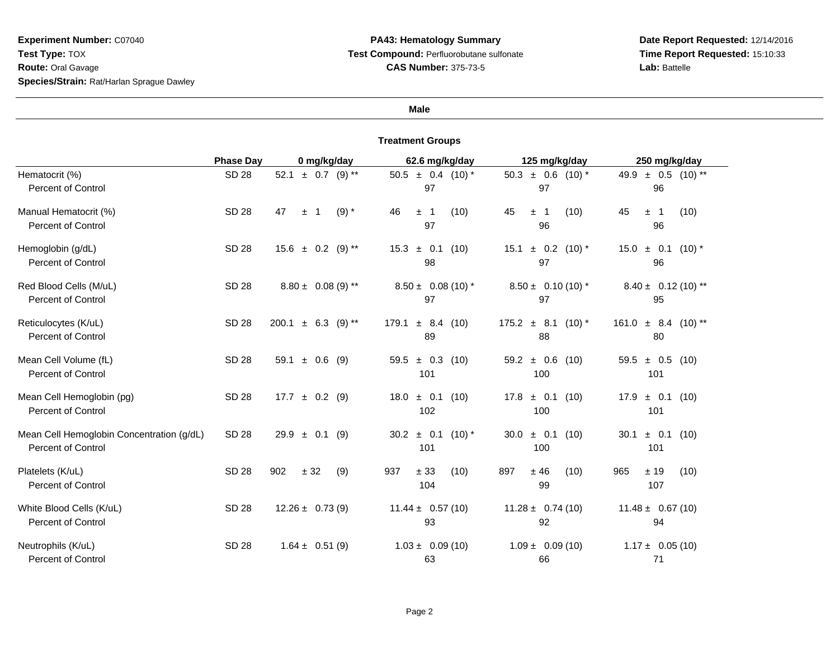#### **Male**

|                                                                        | <b>Phase Day</b> | 0 mg/kg/day                | 62.6 mg/kg/day                   | 125 mg/kg/day                             | 250 mg/kg/day                      |
|------------------------------------------------------------------------|------------------|----------------------------|----------------------------------|-------------------------------------------|------------------------------------|
| Hematocrit (%)<br><b>Percent of Control</b>                            | <b>SD 28</b>     | 52.1 $\pm$ 0.7 (9) **      | $50.5 \pm 0.4$ (10) *<br>97      | $50.3 \pm 0.6$ (10) <sup>*</sup><br>97    | 49.9<br>$\pm$ 0.5 (10) **<br>96    |
| Manual Hematocrit (%)<br><b>Percent of Control</b>                     | <b>SD 28</b>     | 47<br>$(9) *$<br>$\pm$ 1   | 46<br>(10)<br>± 1<br>97          | 45<br>(10)<br>± 1<br>96                   | 45<br>± 1<br>(10)<br>96            |
| Hemoglobin (g/dL)<br><b>Percent of Control</b>                         | <b>SD 28</b>     | $15.6 \pm 0.2$ (9) **      | $15.3 \pm 0.1$ (10)<br>98        | $\pm$ 0.2 (10) <sup>*</sup><br>15.1<br>97 | $15.0 \pm 0.1$<br>$(10)^{*}$<br>96 |
| Red Blood Cells (M/uL)<br><b>Percent of Control</b>                    | SD 28            | $8.80 \pm 0.08$ (9) **     | $8.50 \pm 0.08(10)^*$<br>97      | $8.50 \pm 0.10(10)^*$<br>97               | $8.40 \pm 0.12(10)$ **<br>95       |
| Reticulocytes (K/uL)<br><b>Percent of Control</b>                      | <b>SD 28</b>     | 200.1<br>± 6.3<br>$(9)$ ** | ± 8.4<br>179.1<br>(10)<br>89     | $175.2 \pm 8.1 (10)^*$<br>88              | $\pm$ 8.4 (10) **<br>161.0<br>80   |
| Mean Cell Volume (fL)<br><b>Percent of Control</b>                     | <b>SD 28</b>     | 59.1 $\pm$ 0.6 (9)         | $59.5 \pm 0.3$ (10)<br>101       | $59.2 \pm 0.6$ (10)<br>100                | $59.5 \pm 0.5$ (10)<br>101         |
| Mean Cell Hemoglobin (pg)<br><b>Percent of Control</b>                 | <b>SD 28</b>     | $17.7 \pm 0.2$<br>(9)      | $\pm$ 0.1<br>18.0<br>(10)<br>102 | $\pm$ 0.1 (10)<br>17.8<br>100             | 17.9<br>$\pm$ 0.1 (10)<br>101      |
| Mean Cell Hemoglobin Concentration (g/dL)<br><b>Percent of Control</b> | <b>SD 28</b>     | $29.9 \pm 0.1$<br>(9)      | $30.2 \pm 0.1$<br>$(10)*$<br>101 | $\pm$ 0.1<br>30.0<br>(10)<br>100          | ± 0.1<br>30.1<br>(10)<br>101       |
| Platelets (K/uL)<br><b>Percent of Control</b>                          | <b>SD 28</b>     | 902<br>$\pm$ 32<br>(9)     | 937<br>± 33<br>(10)<br>104       | ±46<br>897<br>(10)<br>99                  | ± 19<br>965<br>(10)<br>107         |
| White Blood Cells (K/uL)<br><b>Percent of Control</b>                  | SD 28            | $12.26 \pm 0.73(9)$        | $11.44 \pm 0.57(10)$<br>93       | $11.28 \pm 0.74(10)$<br>92                | $11.48 \pm 0.67(10)$<br>94         |
| Neutrophils (K/uL)<br><b>Percent of Control</b>                        | <b>SD 28</b>     | $1.64 \pm 0.51(9)$         | $1.03 \pm 0.09(10)$<br>63        | $1.09 \pm 0.09(10)$<br>66                 | $1.17 \pm 0.05(10)$<br>71          |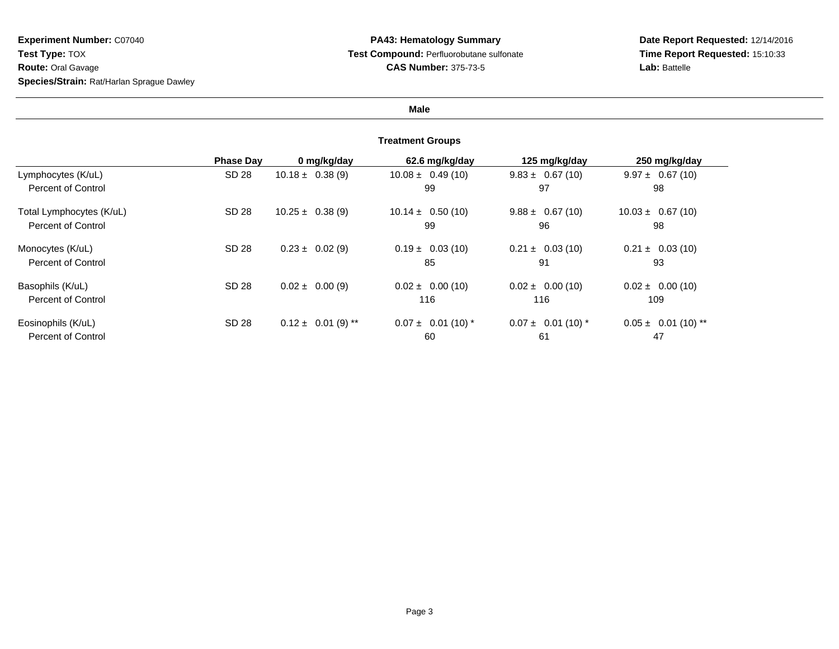## **Male**

|                          | <b>Phase Dav</b> | 0 mg/kg/day            | 62.6 mg/kg/day         | 125 mg/kg/day          | 250 mg/kg/day           |
|--------------------------|------------------|------------------------|------------------------|------------------------|-------------------------|
| Lymphocytes (K/uL)       | SD 28            | $10.18 \pm 0.38(9)$    | $10.08 \pm 0.49(10)$   | $9.83 \pm 0.67(10)$    | $9.97 \pm 0.67(10)$     |
| Percent of Control       |                  |                        | 99                     | 97                     | 98                      |
| Total Lymphocytes (K/uL) | SD 28            | $10.25 \pm 0.38(9)$    | $10.14 \pm 0.50(10)$   | $9.88 \pm 0.67(10)$    | $10.03 \pm 0.67(10)$    |
| Percent of Control       |                  |                        | 99                     | 96                     | 98                      |
| Monocytes (K/uL)         | SD 28            | $0.23 \pm 0.02$ (9)    | $0.19 \pm 0.03(10)$    | $0.21 \pm 0.03(10)$    | $0.21 \pm 0.03(10)$     |
| Percent of Control       |                  |                        | 85                     | 91                     | 93                      |
| Basophils (K/uL)         | SD 28            | $0.02 \pm 0.00(9)$     | $0.02 \pm 0.00$ (10)   | $0.02 \pm 0.00$ (10)   | $0.02 \pm 0.00$ (10)    |
| Percent of Control       |                  |                        | 116                    | 116                    | 109                     |
| Eosinophils (K/uL)       | SD 28            | $0.12 \pm 0.01$ (9) ** | $0.07 \pm 0.01$ (10) * | $0.07 \pm 0.01$ (10) * | $0.05 \pm 0.01$ (10) ** |
| Percent of Control       |                  |                        | 60                     | 61                     | 47                      |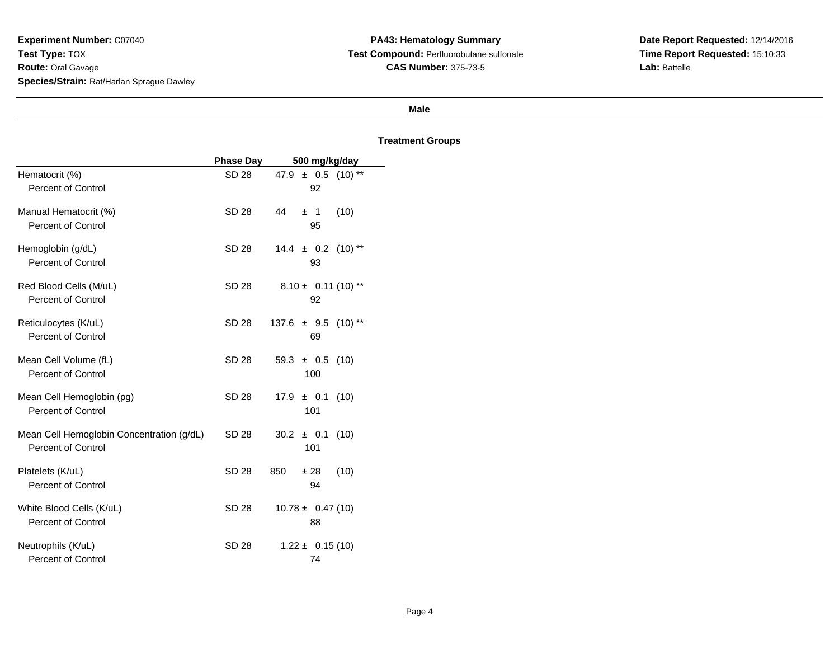## **Male**

|                                           | <b>Phase Day</b> | 500 mg/kg/day                |
|-------------------------------------------|------------------|------------------------------|
| Hematocrit (%)                            | SD 28            | 47.9 $\pm$ 0.5 (10) **       |
| <b>Percent of Control</b>                 |                  | 92                           |
| Manual Hematocrit (%)                     | <b>SD 28</b>     | 44<br>(10)<br>± 1            |
| <b>Percent of Control</b>                 |                  | 95                           |
| Hemoglobin (g/dL)                         | SD 28            | $(10)$ **<br>$14.4 \pm 0.2$  |
| <b>Percent of Control</b>                 |                  | 93                           |
| Red Blood Cells (M/uL)                    | SD 28            | $8.10 \pm 0.11(10)$ **       |
| <b>Percent of Control</b>                 |                  | 92                           |
| Reticulocytes (K/uL)                      | <b>SD 28</b>     | $137.6 \pm 9.5$<br>$(10)$ ** |
| <b>Percent of Control</b>                 |                  | 69                           |
| Mean Cell Volume (fL)                     | <b>SD 28</b>     | 59.3<br>± 0.5<br>(10)        |
| <b>Percent of Control</b>                 |                  | 100                          |
| Mean Cell Hemoglobin (pg)                 | <b>SD 28</b>     | $17.9 \pm 0.1$<br>(10)       |
| <b>Percent of Control</b>                 |                  | 101                          |
| Mean Cell Hemoglobin Concentration (g/dL) | SD 28            | $30.2 \pm 0.1$<br>(10)       |
| <b>Percent of Control</b>                 |                  | 101                          |
| Platelets (K/uL)                          | <b>SD 28</b>     | 850<br>(10)<br>±28           |
| <b>Percent of Control</b>                 |                  | 94                           |
| White Blood Cells (K/uL)                  | SD 28            | $10.78 \pm 0.47(10)$         |
| <b>Percent of Control</b>                 |                  | 88                           |
| Neutrophils (K/uL)                        | SD 28            | $1.22 \pm 0.15(10)$          |
| <b>Percent of Control</b>                 |                  | 74                           |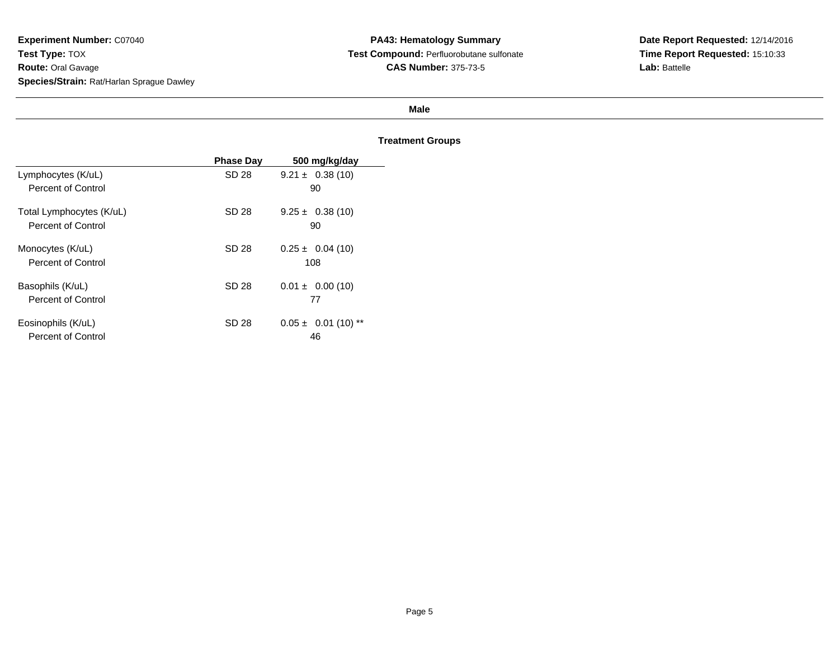#### **Male**

|                          | <b>Phase Day</b> | 500 mg/kg/day           |
|--------------------------|------------------|-------------------------|
| Lymphocytes (K/uL)       | SD 28            | $9.21 \pm 0.38(10)$     |
| Percent of Control       |                  | 90                      |
| Total Lymphocytes (K/uL) | SD 28            | $9.25 \pm 0.38(10)$     |
| Percent of Control       |                  | 90                      |
| Monocytes (K/uL)         | SD 28            | $0.25 \pm 0.04$ (10)    |
| Percent of Control       |                  | 108                     |
| Basophils (K/uL)         | SD 28            | $0.01 \pm 0.00$ (10)    |
| Percent of Control       |                  | 77                      |
| Eosinophils (K/uL)       | SD 28            | $0.05 \pm 0.01$ (10) ** |
| Percent of Control       |                  | 46                      |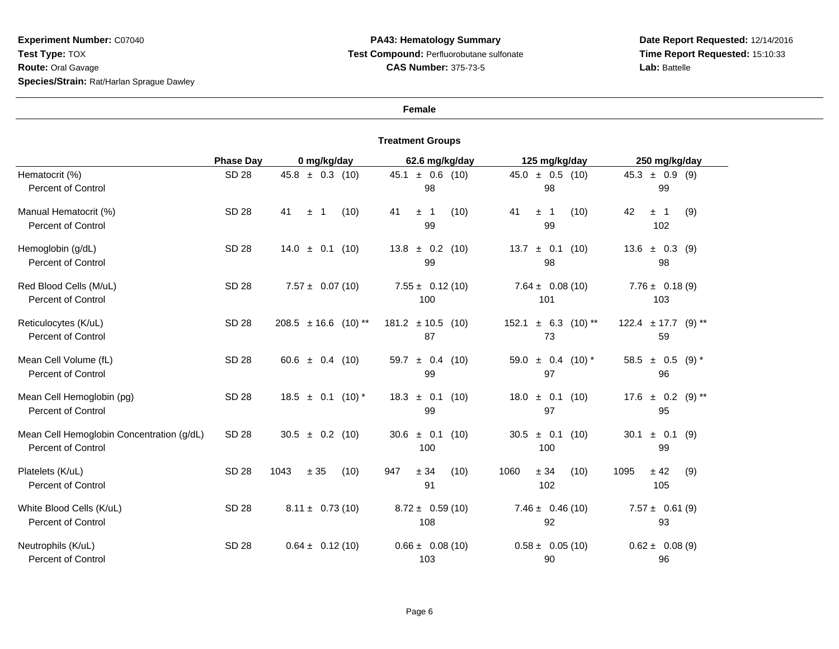## **Female**

|                                                                        | <b>Phase Day</b> | 0 mg/kg/day                        | 62.6 mg/kg/day                   | 125 mg/kg/day                             | 250 mg/kg/day                             |
|------------------------------------------------------------------------|------------------|------------------------------------|----------------------------------|-------------------------------------------|-------------------------------------------|
| Hematocrit (%)<br><b>Percent of Control</b>                            | <b>SD 28</b>     | $45.8 \pm 0.3$ (10)                | $\pm$ 0.6 (10)<br>45.1<br>98     | $45.0 \pm 0.5$ (10)<br>98                 | $45.3 \pm 0.9$ (9)<br>99                  |
| Manual Hematocrit (%)<br><b>Percent of Control</b>                     | <b>SD 28</b>     | 41<br>(10)<br>$\pm$<br>$\mathbf 1$ | 41<br>(10)<br>± 1<br>99          | 41<br>(10)<br>$\pm$ 1<br>99               | 42<br>$\pm$ 1<br>(9)<br>102               |
| Hemoglobin (g/dL)<br><b>Percent of Control</b>                         | <b>SD 28</b>     | $14.0 \pm 0.1$<br>(10)             | $13.8 \pm 0.2$ (10)<br>99        | $\pm$ 0.1<br>(10)<br>13.7<br>98           | 13.6<br>$\pm$ 0.3 (9)<br>98               |
| Red Blood Cells (M/uL)<br><b>Percent of Control</b>                    | SD 28            | $7.57 \pm 0.07(10)$                | $7.55 \pm 0.12(10)$<br>100       | $7.64 \pm 0.08(10)$<br>101                | $7.76 \pm 0.18(9)$<br>103                 |
| Reticulocytes (K/uL)<br><b>Percent of Control</b>                      | <b>SD 28</b>     | $208.5 \pm 16.6$<br>$(10)$ **      | $181.2 \pm 10.5$ (10)<br>87      | 152.1<br>$\pm$ 6.3<br>$(10)$ **<br>73     | $122.4 \pm 17.7$ (9) **<br>59             |
| Mean Cell Volume (fL)<br><b>Percent of Control</b>                     | <b>SD 28</b>     | 60.6 $\pm$ 0.4 (10)                | $\pm$ 0.4 (10)<br>59.7<br>99     | $\pm$ 0.4 (10) <sup>*</sup><br>59.0<br>97 | $\pm$ 0.5 (9) <sup>*</sup><br>58.5<br>96  |
| Mean Cell Hemoglobin (pg)<br><b>Percent of Control</b>                 | <b>SD 28</b>     | $18.5 \pm 0.1$<br>$(10)*$          | ± 0.1<br>18.3<br>(10)<br>99      | $18.0 \pm 0.1$<br>(10)<br>97              | $\pm$ 0.2 (9) <sup>**</sup><br>17.6<br>95 |
| Mean Cell Hemoglobin Concentration (g/dL)<br><b>Percent of Control</b> | <b>SD 28</b>     | $30.5 \pm 0.2$ (10)                | $\pm$ 0.1<br>30.6<br>(10)<br>100 | $\pm$ 0.1<br>(10)<br>30.5<br>100          | $\pm$ 0.1<br>30.1<br>(9)<br>99            |
| Platelets (K/uL)<br><b>Percent of Control</b>                          | <b>SD 28</b>     | 1043<br>± 35<br>(10)               | 947<br>± 34<br>(10)<br>91        | 1060<br>± 34<br>(10)<br>102               | 1095<br>± 42<br>(9)<br>105                |
| White Blood Cells (K/uL)<br><b>Percent of Control</b>                  | SD 28            | $8.11 \pm 0.73(10)$                | $8.72 \pm 0.59(10)$<br>108       | $7.46 \pm 0.46(10)$<br>92                 | $7.57 \pm 0.61(9)$<br>93                  |
| Neutrophils (K/uL)<br><b>Percent of Control</b>                        | <b>SD 28</b>     | $0.64 \pm 0.12(10)$                | $0.66 \pm 0.08(10)$<br>103       | $0.58 \pm 0.05(10)$<br>90                 | $0.62 \pm 0.08(9)$<br>96                  |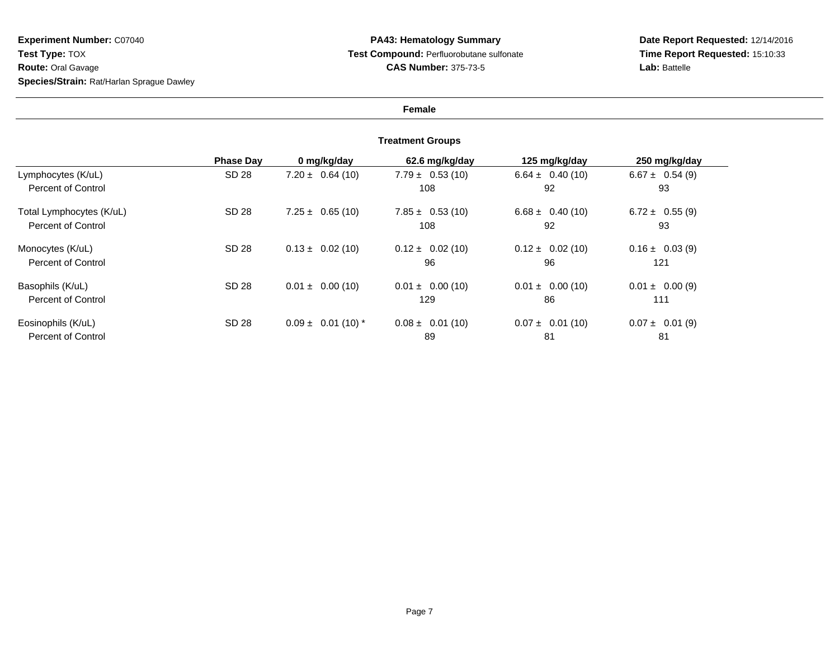## **Female**

|                          | <b>Phase Dav</b> | 0 mg/kg/day            | 62.6 mg/kg/day       | 125 mg/kg/day        | 250 mg/kg/day       |
|--------------------------|------------------|------------------------|----------------------|----------------------|---------------------|
| Lymphocytes (K/uL)       | SD 28            | $7.20 \pm 0.64(10)$    | $7.79 \pm 0.53(10)$  | $6.64 \pm 0.40(10)$  | $6.67 \pm 0.54(9)$  |
| Percent of Control       |                  |                        | 108                  | 92                   | 93                  |
| Total Lymphocytes (K/uL) | SD 28            | $7.25 \pm 0.65(10)$    | $7.85 \pm 0.53(10)$  | $6.68 \pm 0.40(10)$  | $6.72 \pm 0.55(9)$  |
| Percent of Control       |                  |                        | 108                  | 92                   | 93                  |
| Monocytes (K/uL)         | SD 28            | $0.13 \pm 0.02$ (10)   | $0.12 \pm 0.02$ (10) | $0.12 \pm 0.02$ (10) | $0.16 \pm 0.03$ (9) |
| Percent of Control       |                  |                        | 96                   | 96                   | 121                 |
| Basophils (K/uL)         | SD 28            | $0.01 \pm 0.00$ (10)   | $0.01 \pm 0.00$ (10) | $0.01 \pm 0.00$ (10) | $0.01 \pm 0.00(9)$  |
| Percent of Control       |                  |                        | 129                  | 86                   | 111                 |
| Eosinophils (K/uL)       | SD 28            | $0.09 \pm 0.01$ (10) * | $0.08 \pm 0.01$ (10) | $0.07 \pm 0.01$ (10) | $0.07 \pm 0.01$ (9) |
| Percent of Control       |                  |                        | 89                   | 81                   | 81                  |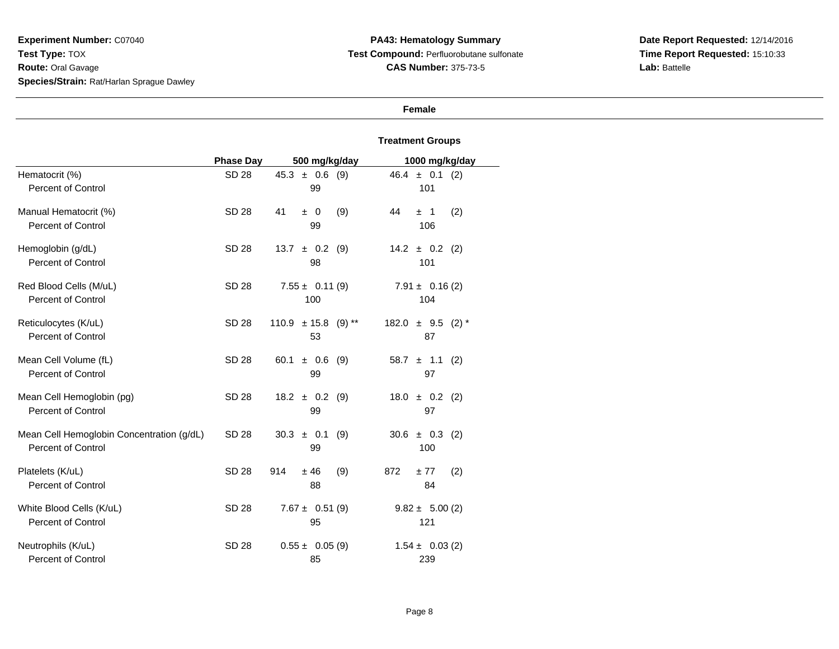**Date Report Requested:** 12/14/2016 **Time Report Requested:** 15:10:33**Lab:** Battelle

# **Female**

|                                                                 | <b>Phase Day</b> | 500 mg/kg/day                 | 1000 mg/kg/day                   |
|-----------------------------------------------------------------|------------------|-------------------------------|----------------------------------|
| Hematocrit (%)<br><b>Percent of Control</b>                     | <b>SD 28</b>     | $45.3 \pm 0.6$ (9)<br>99      | $46.4 \pm 0.1$ (2)<br>101        |
| Manual Hematocrit (%)<br><b>Percent of Control</b>              | <b>SD 28</b>     | (9)<br>41<br>$\pm$ 0<br>99    | 44<br>(2)<br>±1<br>106           |
| Hemoglobin (g/dL)<br>Percent of Control                         | SD 28            | $\pm$ 0.2 (9)<br>13.7<br>98   | $14.2 \pm 0.2$ (2)<br>101        |
| Red Blood Cells (M/uL)<br><b>Percent of Control</b>             | <b>SD 28</b>     | $7.55 \pm 0.11(9)$<br>100     | $7.91 \pm 0.16(2)$<br>104        |
| Reticulocytes (K/uL)<br>Percent of Control                      | <b>SD 28</b>     | $110.9 \pm 15.8$ (9) **<br>53 | $182.0 \pm 9.5$<br>$(2)$ *<br>87 |
| Mean Cell Volume (fL)<br>Percent of Control                     | <b>SD 28</b>     | $\pm$ 0.6 (9)<br>60.1<br>99   | $58.7 \pm 1.1$<br>(2)<br>97      |
| Mean Cell Hemoglobin (pg)<br><b>Percent of Control</b>          | <b>SD 28</b>     | $18.2 \pm 0.2$ (9)<br>99      | $18.0 \pm 0.2$<br>(2)<br>97      |
| Mean Cell Hemoglobin Concentration (g/dL)<br>Percent of Control | SD 28            | $30.3 \pm 0.1$<br>(9)<br>99   | $30.6 \pm 0.3$<br>(2)<br>100     |
| Platelets (K/uL)<br><b>Percent of Control</b>                   | <b>SD 28</b>     | 914<br>±46<br>(9)<br>88       | 872<br>±77<br>(2)<br>84          |
| White Blood Cells (K/uL)<br><b>Percent of Control</b>           | <b>SD 28</b>     | $7.67 \pm 0.51(9)$<br>95      | $9.82 \pm 5.00(2)$<br>121        |
| Neutrophils (K/uL)<br>Percent of Control                        | <b>SD 28</b>     | $0.55 \pm 0.05$ (9)<br>85     | $1.54 \pm 0.03$ (2)<br>239       |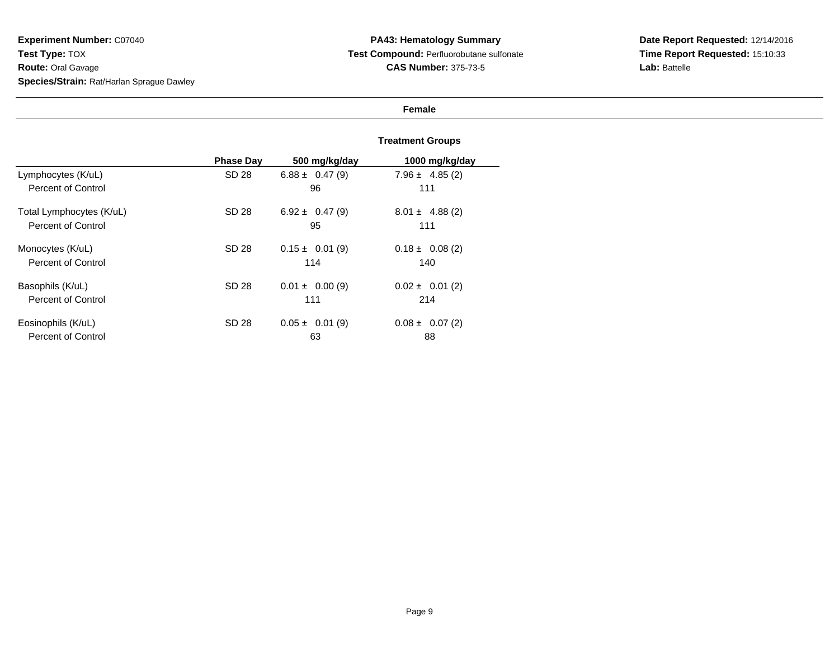## **Female**

|                          | <b>Phase Day</b> | 500 mg/kg/day       | 1000 mg/kg/day      |
|--------------------------|------------------|---------------------|---------------------|
| Lymphocytes (K/uL)       | SD 28            | $6.88 \pm 0.47(9)$  | $7.96 \pm 4.85(2)$  |
| Percent of Control       |                  | 96                  | 111                 |
| Total Lymphocytes (K/uL) | SD 28            | $6.92 \pm 0.47(9)$  | $8.01 \pm 4.88(2)$  |
| Percent of Control       |                  | 95                  | 111                 |
| Monocytes (K/uL)         | SD 28            | $0.15 \pm 0.01$ (9) | $0.18 \pm 0.08$ (2) |
| Percent of Control       |                  | 114                 | 140                 |
| Basophils (K/uL)         | SD 28            | $0.01 \pm 0.00(9)$  | $0.02 \pm 0.01$ (2) |
| Percent of Control       |                  | 111                 | 214                 |
| Eosinophils (K/uL)       | SD 28            | $0.05 \pm 0.01$ (9) | $0.08 \pm 0.07(2)$  |
| Percent of Control       |                  | 63                  | 88                  |